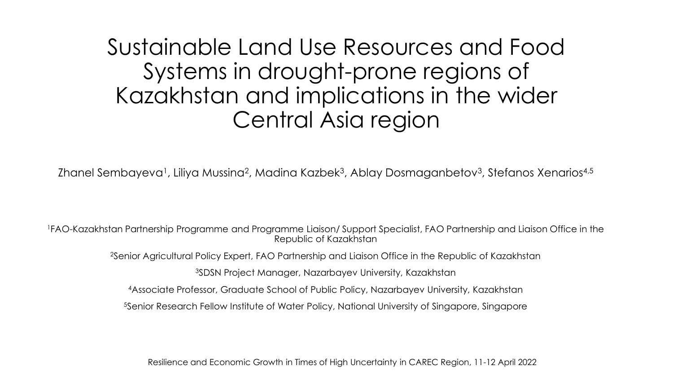Sustainable Land Use Resources and Food Systems in drought-prone regions of Kazakhstan and implications in the wider Central Asia region

Zhanel Sembayeva<sup>1</sup>, Liliya Mussina<sup>2</sup>, Madina Kazbek<sup>3</sup>, Ablay Dosmaganbetov<sup>3</sup>, Stefanos Xenarios<sup>4,5</sup>

<sup>1</sup>FAO-Kazakhstan Partnership Programme and Programme Liaison/ Support Specialist, FAO Partnership and Liaison Office in the Republic of Kazakhstan

<sup>2</sup>Senior Agricultural Policy Expert, FAO Partnership and Liaison Office in the Republic of Kazakhstan

<sup>3</sup>SDSN Project Manager, Nazarbayev University, Kazakhstan

<sup>4</sup>Associate Professor, Graduate School of Public Policy, Nazarbayev University, Kazakhstan

<sup>5</sup>Senior Research Fellow Institute of Water Policy, National University of Singapore, Singapore

Resilience and Economic Growth in Times of High Uncertainty in CAREC Region, 11-12 April 2022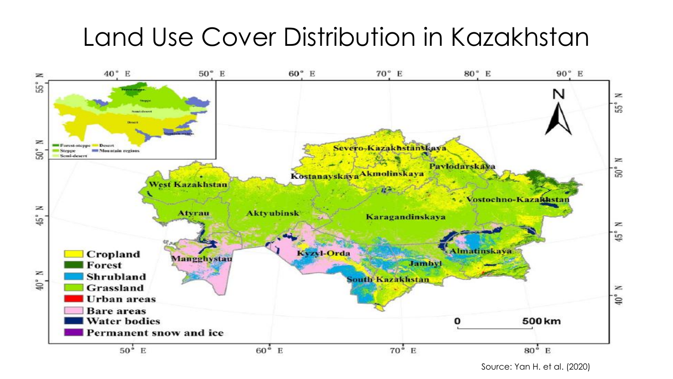# Land Use Cover Distribution in Kazakhstan



Source: Yan H. et al. (2020)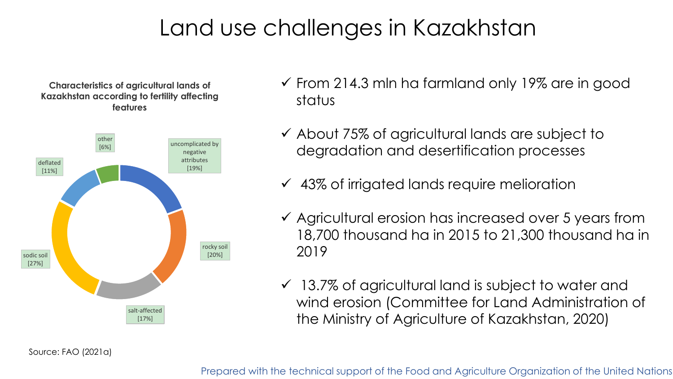# Land use challenges in Kazakhstan

**Characteristics of agricultural lands of Kazakhstan according to fertility affecting features**



- $\checkmark$  From 214.3 mln ha farmland only 19% are in good status
- ✓ About 75% of agricultural lands are subject to degradation and desertification processes
- $\checkmark$  43% of irrigated lands require melioration
- ✓ Agricultural erosion has increased over 5 years from 18,700 thousand ha in 2015 to 21,300 thousand ha in 2019
- $\checkmark$  13.7% of agricultural land is subject to water and wind erosion (Committee for Land Administration of the Ministry of Agriculture of Kazakhstan, 2020)

Source: FAO (2021a)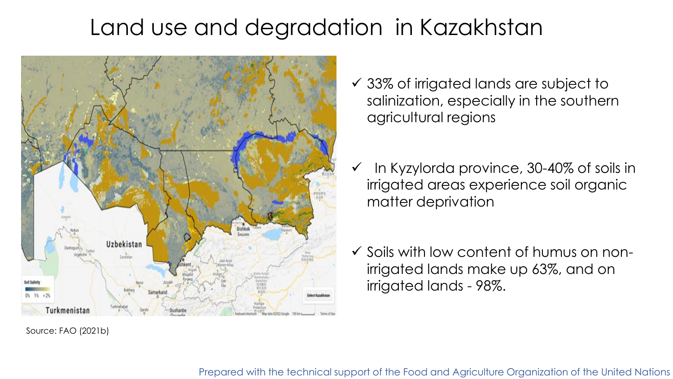# Land use and degradation in Kazakhstan



Source: FAO (2021b)

- ✓ 33% of irrigated lands are subject to salinization, especially in the southern agricultural regions
- $\checkmark$  In Kyzylorda province, 30-40% of soils in irrigated areas experience soil organic matter deprivation
- ✓ Soils with low content of humus on nonirrigated lands make up 63%, and on irrigated lands - 98%.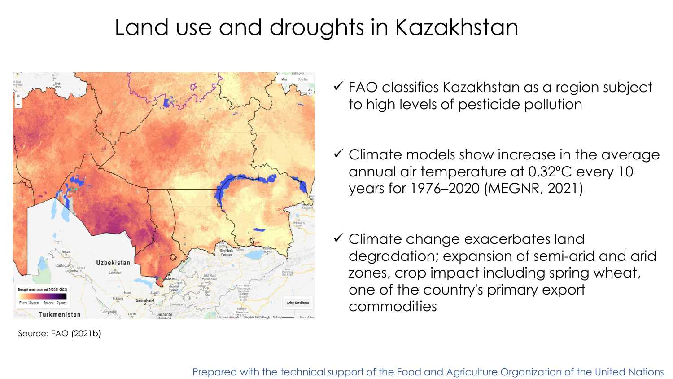# Land use and droughts in Kazakhstan



Source: FAO (2021b)

- ✓ FAO classifies Kazakhstan as a region subject to high levels of pesticide pollution
- $\checkmark$  Climate models show increase in the average annual air temperature at 0.32ºС every 10 years for 1976–2020 (MEGNR, 2021)
- ✓ Climate change exacerbates land degradation; expansion of semi-arid and arid zones, crop impact including spring wheat, one of the country's primary export commodities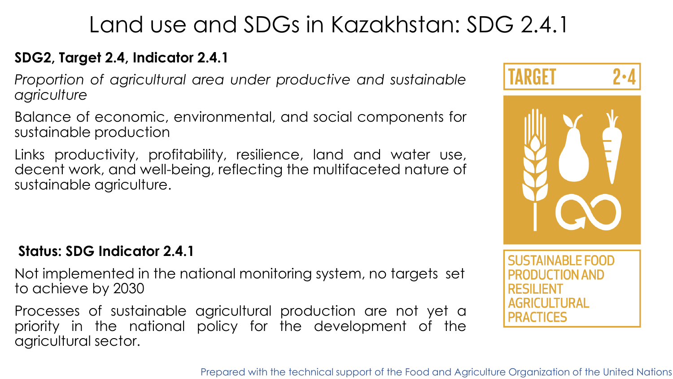# Land use and SDGs in Kazakhstan: SDG 2.4.1

#### **SDG2, Target 2.4, Indicator 2.4.1**

*Proportion of agricultural area under productive and sustainable agriculture*

Balance of economic, environmental, and social components for sustainable production

Links productivity, profitability, resilience, land and water use, decent work, and well-being, reflecting the multifaceted nature of sustainable agriculture.

#### **Status: SDG Indicator 2.4.1**

Not implemented in the national monitoring system, no targets set to achieve by 2030

Processes of sustainable agricultural production are not yet a priority in the national policy for the development of the agricultural sector.

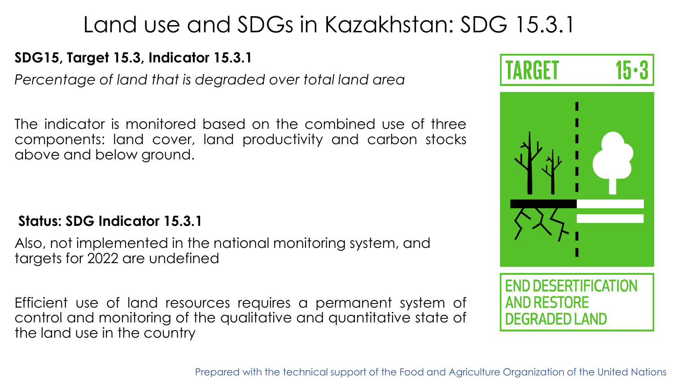# Land use and SDGs in Kazakhstan: SDG 15.3.1

#### **SDG15, Target 15.3, Indicator 15.3.1**

*Percentage of land that is degraded over total land area*

The indicator is monitored based on the combined use of three components: land cover, land productivity and carbon stocks above and below ground.

#### **Status: SDG Indicator 15.3.1**

Also, not implemented in the national monitoring system, and targets for 2022 are undefined

Efficient use of land resources requires a permanent system of control and monitoring of the qualitative and quantitative state of the land use in the country



**FND DESERTIFICATION AND RESTORE DEGRADED LAND**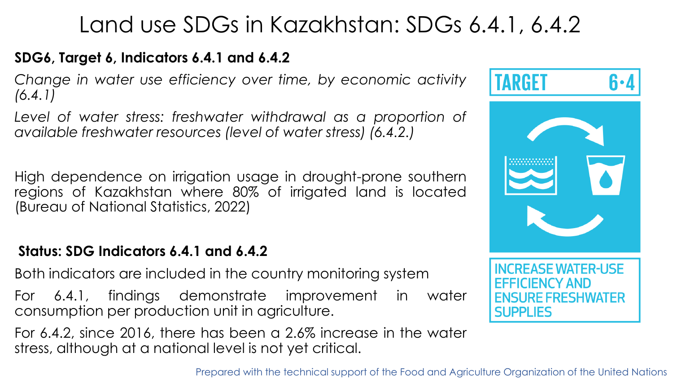# Land use SDGs in Kazakhstan: SDGs 6.4.1, 6.4.2

#### **SDG6, Target 6, Indicators 6.4.1 and 6.4.2**

*Change in water use efficiency over time, by economic activity (6.4.1)*

*Level of water stress: freshwater withdrawal as a proportion of available freshwater resources (level of water stress) (6.4.2.)*

High dependence on irrigation usage in drought-prone southern regions of Kazakhstan where 80% of irrigated land is located (Bureau of National Statistics, 2022)

#### **Status: SDG Indicators 6.4.1 and 6.4.2**

Both indicators are included in the country monitoring system

For 6.4.1, findings demonstrate improvement in water consumption per production unit in agriculture.

For 6.4.2, since 2016, there has been a 2.6% increase in the water stress, although at a national level is not yet critical.

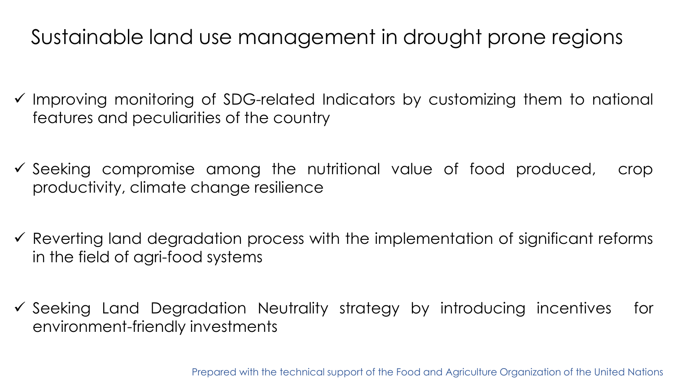### Sustainable land use management in drought prone regions

- ✓ Improving monitoring of SDG-related Indicators by customizing them to national features and peculiarities of the country
- ✓ Seeking compromise among the nutritional value of food produced, crop productivity, climate change resilience
- $\checkmark$  Reverting land degradation process with the implementation of significant reforms in the field of agri-food systems
- ✓ Seeking Land Degradation Neutrality strategy by introducing incentives for environment-friendly investments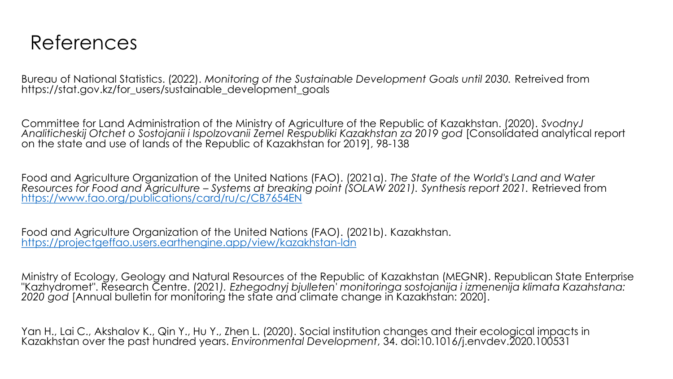### References

Bureau of National Statistics. (2022). *Monitoring of the Sustainable Development Goals until 2030.* Retreived from https://stat.gov.kz/for\_users/sustainable\_development\_goals

Committee for Land Administration of the Ministry of Agriculture of the Republic of Kazakhstan. (2020). *SvodnyJ Analiticheskij Otchet o Sostojanii i Ispolzovanii Zemel Respubliki Kazakhstan za 2019 god* [Consolidated analytical report on the state and use of lands of the Republic of Kazakhstan for 2019], 98-138

Food and Agriculture Organization of the United Nations (FAO). (2021a). *The State of the World's Land and Water Resources for Food and Agriculture – Systems at breaking point (SOLAW 2021). Synthesis report 2021.* Retrieved from <https://www.fao.org/publications/card/ru/c/CB7654EN>

Food and Agriculture Organization of the United Nations (FAO). (2021b). Kazakhstan. <https://projectgeffao.users.earthengine.app/view/kazakhstan-ldn>

Ministry of Ecology, Geology and Natural Resources of the Republic of Kazakhstan (MEGNR). Republican State Enterprise "Kazhydromet". Research Centre. (2021*). Ezhegodnyj bjulleten' monitoringa sostojanija i izmenenija klimata Kazahstana: 2020 god* [Annual bulletin for monitoring the state and climate change in Kazakhstan: 2020].

Yan H., Lai C., Akshalov K., Qin Y., Hu Y., Zhen L. (2020). Social institution changes and their ecological impacts in Kazakhstan over the past hundred years. *Environmental Development*, 34. doi:10.1016/j.envdev.2020.100531